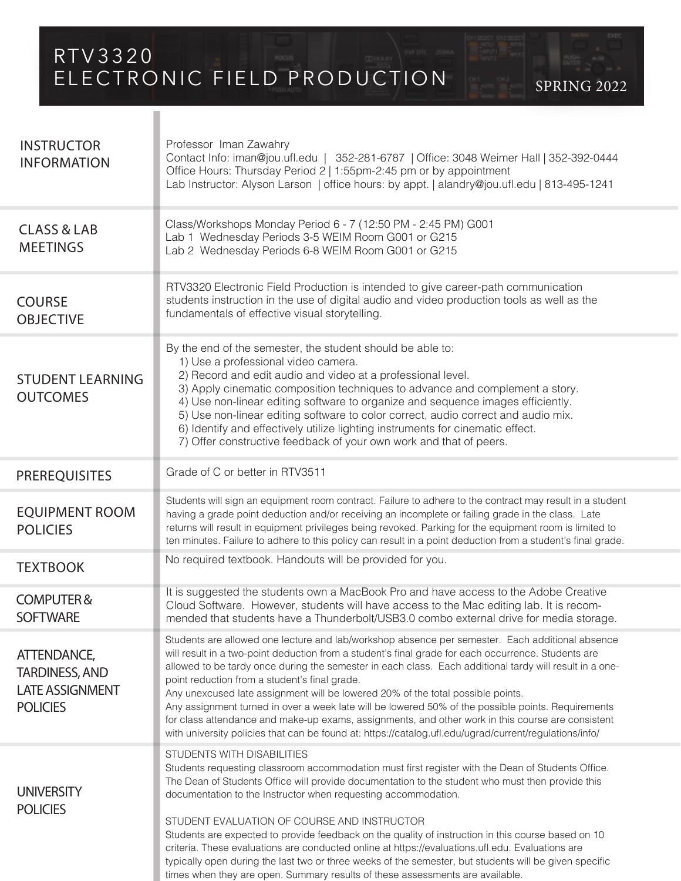RTV3320 ELECTRONIC FIELD PRODUCTION SPRING 2022

**INSTRUCTOR** INFORMATION CLASS & LAB **MEETINGS** STUDENT LEARNING **OUTCOMES TEXTBOOK** Class/Workshops Monday Period 6 - 7 (12:50 PM - 2:45 PM) G001 Lab 1 Wednesday Periods 3-5 WEIM Room G001 or G215 Lab 2 Wednesday Periods 6-8 WEIM Room G001 or G215 COURSE OBJECTIVE RTV3320 Electronic Field Production is intended to give career-path communication students instruction in the use of digital audio and video production tools as well as the fundamentals of effective visual storytelling. No required textbook. Handouts will be provided for you. By the end of the semester, the student should be able to: 1) Use a professional video camera. 2) Record and edit audio and video at a professional level. 3) Apply cinematic composition techniques to advance and complement a story. 4) Use non-linear editing software to organize and sequence images efficiently. 5) Use non-linear editing software to color correct, audio correct and audio mix. 6) Identify and effectively utilize lighting instruments for cinematic effect. 7) Offer constructive feedback of your own work and that of peers. PREREQUISITES Grade of C or better in RTV3511 COMPUTER & **SOFTWARE** It is suggested the students own a MacBook Pro and have access to the Adobe Creative Cloud Software. However, students will have access to the Mac editing lab. It is recommended that students have a Thunderbolt/USB3.0 combo external drive for media storage. ATTENDANCE, TARDINESS, AND LATE ASSIGNMENT **POLICIES** Students are allowed one lecture and lab/workshop absence per semester. Each additional absence will result in a two-point deduction from a student's final grade for each occurrence. Students are allowed to be tardy once during the semester in each class. Each additional tardy will result in a onepoint reduction from a student's final grade. Any unexcused late assignment will be lowered 20% of the total possible points. Any assignment turned in over a week late will be lowered 50% of the possible points. Requirements for class attendance and make-up exams, assignments, and other work in this course are consistent with university policies that can be found at: https://catalog.ufl.edu/ugrad/current/regulations/info/ STUDENTS WITH DISABILITIES Students requesting classroom accommodation must first register with the Dean of Students Office. The Dean of Students Office will provide documentation to the student who must then provide this documentation to the Instructor when requesting accommodation. STUDENT EVALUATION OF COURSE AND INSTRUCTOR Students are expected to provide feedback on the quality of instruction in this course based on 10 criteria. These evaluations are conducted online at https://evaluations.ufl.edu. Evaluations are typically open during the last two or three weeks of the semester, but students will be given specific times when they are open. Summary results of these assessments are available. **UNIVERSITY** POLICIES Professor Iman Zawahry Contact Info: iman@jou.ufl.edu | 352-281-6787 | Office: 3048 Weimer Hall | 352-392-0444 Office Hours: Thursday Period 2 | 1:55pm-2:45 pm or by appointment Lab Instructor: Alyson Larson | office hours: by appt. | alandry@jou.ufl.edu | 813-495-1241 EQUIPMENT ROOM POLICIES Students will sign an equipment room contract. Failure to adhere to the contract may result in a student having a grade point deduction and/or receiving an incomplete or failing grade in the class. Late returns will result in equipment privileges being revoked. Parking for the equipment room is limited to ten minutes. Failure to adhere to this policy can result in a point deduction from a student's final grade.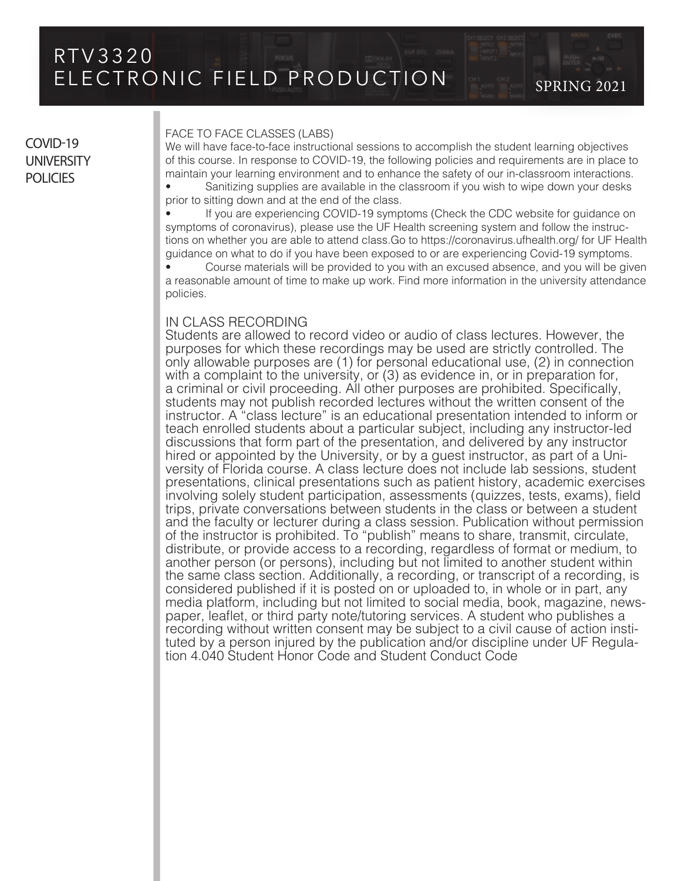# COVID-19 **UNIVERSITY POLICIES**

### FACE TO FACE CLASSES (LABS)

We will have face-to-face instructional sessions to accomplish the student learning objectives of this course. In response to COVID-19, the following policies and requirements are in place to maintain your learning environment and to enhance the safety of our in-classroom interactions.

• Sanitizing supplies are available in the classroom if you wish to wipe down your desks prior to sitting down and at the end of the class.

• If you are experiencing COVID-19 symptoms (Check the CDC website for guidance on symptoms of coronavirus), please use the UF Health screening system and follow the instructions on whether you are able to attend class.Go to https://coronavirus.ufhealth.org/ for UF Health guidance on what to do if you have been exposed to or are experiencing Covid-19 symptoms.

• Course materials will be provided to you with an excused absence, and you will be given a reasonable amount of time to make up work. Find more information in the university attendance policies.

# IN CLASS RECORDING

Students are allowed to record video or audio of class lectures. However, the purposes for which these recordings may be used are strictly controlled. The only allowable purposes are (1) for personal educational use, (2) in connection with a complaint to the university, or (3) as evidence in, or in preparation for, a criminal or civil proceeding. All other purposes are prohibited. Specifically, students may not publish recorded lectures without the written consent of the instructor. A "class lecture" is an educational presentation intended to inform or teach enrolled students about a particular subject, including any instructor-led discussions that form part of the presentation, and delivered by any instructor hired or appointed by the University, or by a guest instructor, as part of a University of Florida course. A class lecture does not include lab sessions, student presentations, clinical presentations such as patient history, academic exercises involving solely student participation, assessments (quizzes, tests, exams), field trips, private conversations between students in the class or between a student and the faculty or lecturer during a class session. Publication without permission of the instructor is prohibited. To "publish" means to share, transmit, circulate, distribute, or provide access to a recording, regardless of format or medium, to another person (or persons), including but not limited to another student within the same class section. Additionally, a recording, or transcript of a recording, is considered published if it is posted on or uploaded to, in whole or in part, any media platform, including but not limited to social media, book, magazine, newspaper, leaflet, or third party note/tutoring services. A student who publishes a recording without written consent may be subject to a civil cause of action instituted by a person injured by the publication and/or discipline under UF Regulation 4.040 Student Honor Code and Student Conduct Code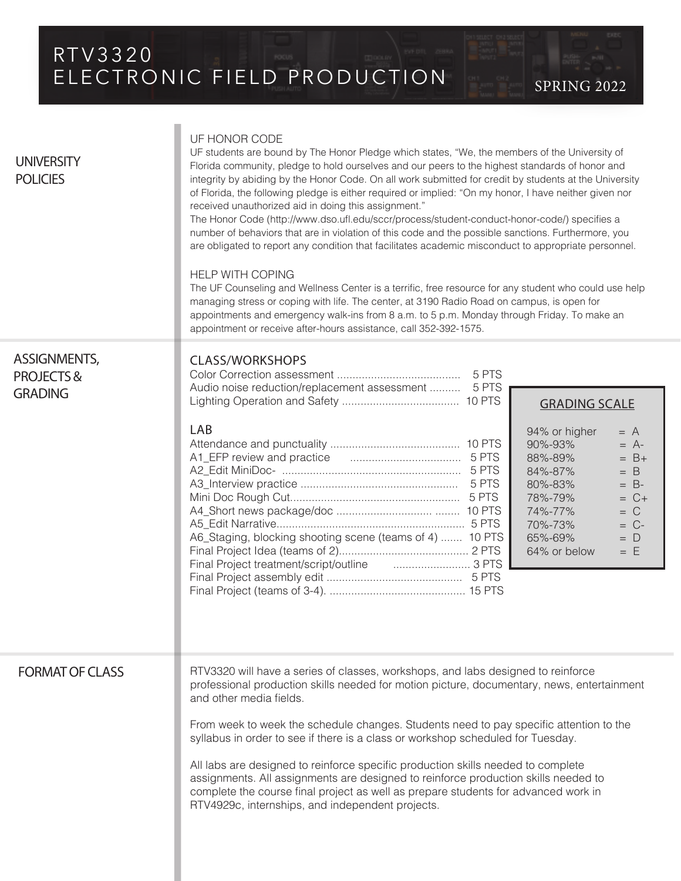# RTV3320 ELECTRONIC FIELD PRODUCTION SPRING 2022

| <b>UNIVERSITY</b><br><b>POLICIES</b>                          | UF HONOR CODE<br>UF students are bound by The Honor Pledge which states, "We, the members of the University of<br>Florida community, pledge to hold ourselves and our peers to the highest standards of honor and<br>integrity by abiding by the Honor Code. On all work submitted for credit by students at the University<br>of Florida, the following pledge is either required or implied: "On my honor, I have neither given nor<br>received unauthorized aid in doing this assignment."<br>The Honor Code (http://www.dso.ufl.edu/sccr/process/student-conduct-honor-code/) specifies a<br>number of behaviors that are in violation of this code and the possible sanctions. Furthermore, you<br>are obligated to report any condition that facilitates academic misconduct to appropriate personnel.<br><b>HELP WITH COPING</b><br>The UF Counseling and Wellness Center is a terrific, free resource for any student who could use help<br>managing stress or coping with life. The center, at 3190 Radio Road on campus, is open for<br>appointments and emergency walk-ins from 8 a.m. to 5 p.m. Monday through Friday. To make an<br>appointment or receive after-hours assistance, call 352-392-1575. |  |
|---------------------------------------------------------------|--------------------------------------------------------------------------------------------------------------------------------------------------------------------------------------------------------------------------------------------------------------------------------------------------------------------------------------------------------------------------------------------------------------------------------------------------------------------------------------------------------------------------------------------------------------------------------------------------------------------------------------------------------------------------------------------------------------------------------------------------------------------------------------------------------------------------------------------------------------------------------------------------------------------------------------------------------------------------------------------------------------------------------------------------------------------------------------------------------------------------------------------------------------------------------------------------------------------|--|
| <b>ASSIGNMENTS,</b><br><b>PROJECTS&amp;</b><br><b>GRADING</b> | <b>CLASS/WORKSHOPS</b><br>Audio noise reduction/replacement assessment  5 PTS                                                                                                                                                                                                                                                                                                                                                                                                                                                                                                                                                                                                                                                                                                                                                                                                                                                                                                                                                                                                                                                                                                                                      |  |
|                                                               | <b>GRADING SCALE</b><br>LAB<br>94% or higher<br>$= A$<br>90%-93%<br>$= A$ -<br>88%-89%<br>$= B +$<br>84%-87%<br>$=$ B<br>80%-83%<br>$= B$ -<br>78%-79%<br>$= C +$<br>74%-77%<br>$= C$<br>70%-73%<br>$= C$ -<br>A6_Staging, blocking shooting scene (teams of 4)  10 PTS<br>65%-69%<br>$= D$<br>64% or below<br>$=$ F<br>Final Project treatment/script/outline                                                                                                                                                                                                                                                                                                                                                                                                                                                                                                                                                                                                                                                                                                                                                                                                                                                     |  |
| <b>FORMAT OF CLASS</b>                                        | RTV3320 will have a series of classes, workshops, and labs designed to reinforce<br>professional production skills needed for motion picture, documentary, news, entertainment<br>and other media fields.<br>From week to week the schedule changes. Students need to pay specific attention to the<br>syllabus in order to see if there is a class or workshop scheduled for Tuesday.<br>All labs are designed to reinforce specific production skills needed to complete<br>assignments. All assignments are designed to reinforce production skills needed to<br>complete the course final project as well as prepare students for advanced work in<br>RTV4929c, internships, and independent projects.                                                                                                                                                                                                                                                                                                                                                                                                                                                                                                         |  |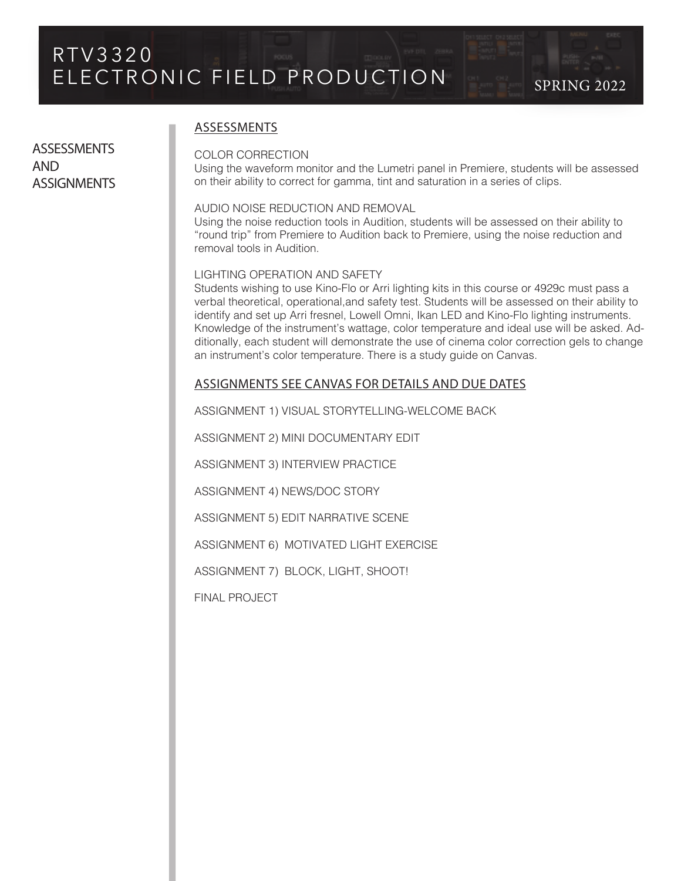**ASSESSMENTS** AND **ASSIGNMENTS** 

# ASSESSMENTS

## COLOR CORRECTION

Using the waveform monitor and the Lumetri panel in Premiere, students will be assessed on their ability to correct for gamma, tint and saturation in a series of clips.

# AUDIO NOISE REDUCTION AND REMOVAL

Using the noise reduction tools in Audition, students will be assessed on their ability to "round trip" from Premiere to Audition back to Premiere, using the noise reduction and removal tools in Audition.

## LIGHTING OPERATION AND SAFETY

Students wishing to use Kino-Flo or Arri lighting kits in this course or 4929c must pass a verbal theoretical, operational,and safety test. Students will be assessed on their ability to identify and set up Arri fresnel, Lowell Omni, Ikan LED and Kino-Flo lighting instruments. Knowledge of the instrument's wattage, color temperature and ideal use will be asked. Additionally, each student will demonstrate the use of cinema color correction gels to change an instrument's color temperature. There is a study guide on Canvas.

# ASSIGNMENTS SEE CANVAS FOR DETAILS AND DUE DATES

ASSIGNMENT 1) VISUAL STORYTELLING-WELCOME BACK

ASSIGNMENT 2) MINI DOCUMENTARY EDIT

ASSIGNMENT 3) INTERVIEW PRACTICE

ASSIGNMENT 4) NEWS/DOC STORY

ASSIGNMENT 5) EDIT NARRATIVE SCENE

ASSIGNMENT 6) MOTIVATED LIGHT EXERCISE

ASSIGNMENT 7) BLOCK, LIGHT, SHOOT!

FINAL PROJECT